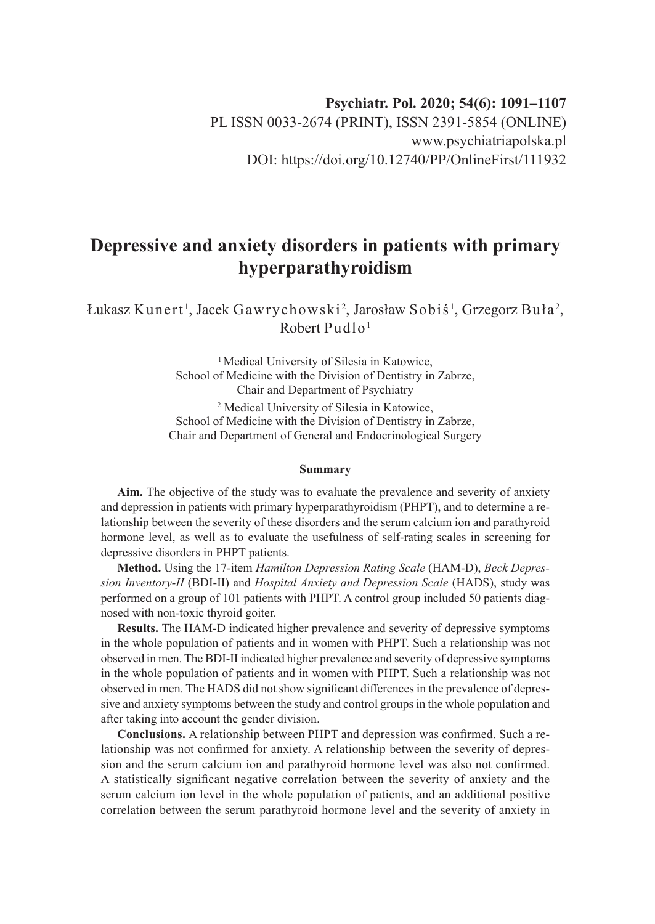# **Depressive and anxiety disorders in patients with primary hyperparathyroidism**

Łukasz Kunert<sup>1</sup>, Jacek Gawrychowski<sup>2</sup>, Jarosław Sobiś<sup>1</sup>, Grzegorz Buła<sup>2</sup>, Robert Pudlo<sup>1</sup>

> <sup>1</sup> Medical University of Silesia in Katowice, School of Medicine with the Division of Dentistry in Zabrze, Chair and Department of Psychiatry 2 Medical University of Silesia in Katowice, School of Medicine with the Division of Dentistry in Zabrze, Chair and Department of General and Endocrinological Surgery

#### **Summary**

**Aim.** The objective of the study was to evaluate the prevalence and severity of anxiety and depression in patients with primary hyperparathyroidism (PHPT), and to determine a relationship between the severity of these disorders and the serum calcium ion and parathyroid hormone level, as well as to evaluate the usefulness of self-rating scales in screening for depressive disorders in PHPT patients.

**Method.** Using the 17-item *Hamilton Depression Rating Scale* (HAM-D), *Beck Depression Inventory-II* (BDI-II) and *Hospital Anxiety and Depression Scale* (HADS), study was performed on a group of 101 patients with PHPT. A control group included 50 patients diagnosed with non-toxic thyroid goiter.

**Results.** The HAM-D indicated higher prevalence and severity of depressive symptoms in the whole population of patients and in women with PHPT. Such a relationship was not observed in men. The BDI-II indicated higher prevalence and severity of depressive symptoms in the whole population of patients and in women with PHPT. Such a relationship was not observed in men. The HADS did not show significant differences in the prevalence of depressive and anxiety symptoms between the study and control groups in the whole population and after taking into account the gender division.

**Conclusions.** A relationship between PHPT and depression was confirmed. Such a relationship was not confirmed for anxiety. A relationship between the severity of depression and the serum calcium ion and parathyroid hormone level was also not confirmed. A statistically significant negative correlation between the severity of anxiety and the serum calcium ion level in the whole population of patients, and an additional positive correlation between the serum parathyroid hormone level and the severity of anxiety in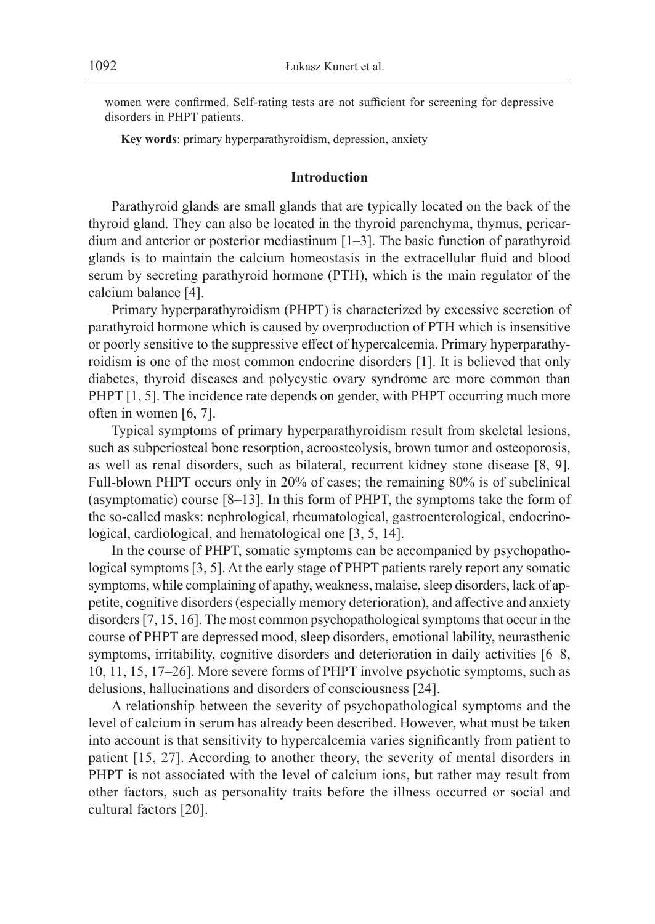women were confirmed. Self-rating tests are not sufficient for screening for depressive disorders in PHPT patients.

**Key words**: primary hyperparathyroidism, depression, anxiety

## **Introduction**

Parathyroid glands are small glands that are typically located on the back of the thyroid gland. They can also be located in the thyroid parenchyma, thymus, pericardium and anterior or posterior mediastinum [1–3]. The basic function of parathyroid glands is to maintain the calcium homeostasis in the extracellular fluid and blood serum by secreting parathyroid hormone (PTH), which is the main regulator of the calcium balance [4].

Primary hyperparathyroidism (PHPT) is characterized by excessive secretion of parathyroid hormone which is caused by overproduction of PTH which is insensitive or poorly sensitive to the suppressive effect of hypercalcemia. Primary hyperparathyroidism is one of the most common endocrine disorders [1]. It is believed that only diabetes, thyroid diseases and polycystic ovary syndrome are more common than PHPT [1, 5]. The incidence rate depends on gender, with PHPT occurring much more often in women [6, 7].

Typical symptoms of primary hyperparathyroidism result from skeletal lesions, such as subperiosteal bone resorption, acroosteolysis, brown tumor and osteoporosis, as well as renal disorders, such as bilateral, recurrent kidney stone disease [8, 9]. Full-blown PHPT occurs only in 20% of cases; the remaining 80% is of subclinical (asymptomatic) course [8–13]. In this form of PHPT, the symptoms take the form of the so-called masks: nephrological, rheumatological, gastroenterological, endocrinological, cardiological, and hematological one [3, 5, 14].

In the course of PHPT, somatic symptoms can be accompanied by psychopathological symptoms [3, 5]. At the early stage of PHPT patients rarely report any somatic symptoms, while complaining of apathy, weakness, malaise, sleep disorders, lack of appetite, cognitive disorders (especially memory deterioration), and affective and anxiety disorders [7, 15, 16]. The most common psychopathological symptoms that occur in the course of PHPT are depressed mood, sleep disorders, emotional lability, neurasthenic symptoms, irritability, cognitive disorders and deterioration in daily activities [6–8, 10, 11, 15, 17–26]. More severe forms of PHPT involve psychotic symptoms, such as delusions, hallucinations and disorders of consciousness [24].

A relationship between the severity of psychopathological symptoms and the level of calcium in serum has already been described. However, what must be taken into account is that sensitivity to hypercalcemia varies significantly from patient to patient [15, 27]. According to another theory, the severity of mental disorders in PHPT is not associated with the level of calcium ions, but rather may result from other factors, such as personality traits before the illness occurred or social and cultural factors [20].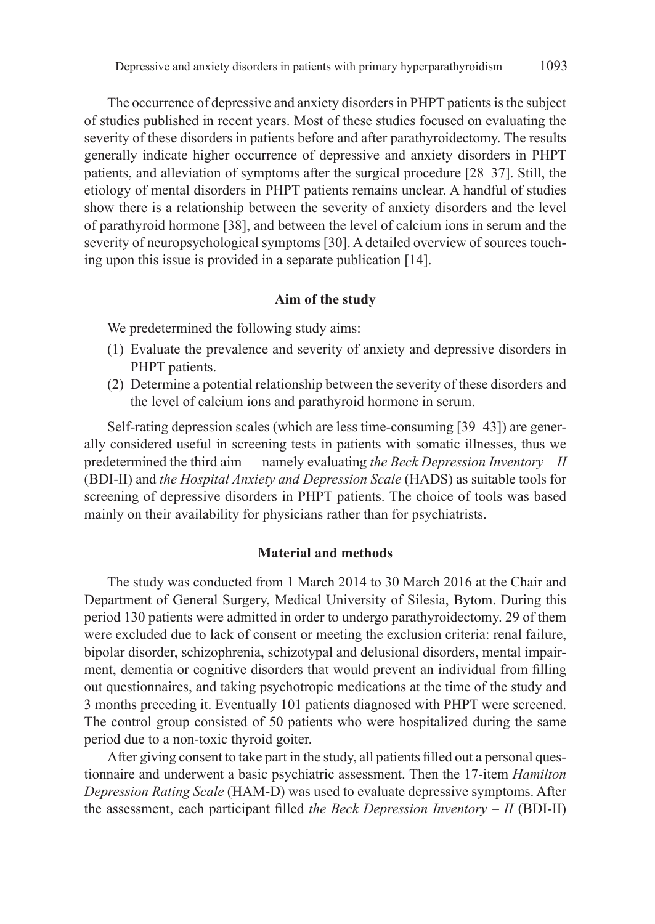The occurrence of depressive and anxiety disorders in PHPT patients is the subject of studies published in recent years. Most of these studies focused on evaluating the severity of these disorders in patients before and after parathyroidectomy. The results generally indicate higher occurrence of depressive and anxiety disorders in PHPT patients, and alleviation of symptoms after the surgical procedure [28–37]. Still, the etiology of mental disorders in PHPT patients remains unclear. A handful of studies show there is a relationship between the severity of anxiety disorders and the level of parathyroid hormone [38], and between the level of calcium ions in serum and the severity of neuropsychological symptoms [30]. A detailed overview of sources touching upon this issue is provided in a separate publication [14].

## **Aim of the study**

We predetermined the following study aims:

- (1) Evaluate the prevalence and severity of anxiety and depressive disorders in PHPT patients.
- (2) Determine a potential relationship between the severity of these disorders and the level of calcium ions and parathyroid hormone in serum.

Self-rating depression scales (which are less time-consuming [39–43]) are generally considered useful in screening tests in patients with somatic illnesses, thus we predetermined the third aim — namely evaluating *the Beck Depression Inventory – II* (BDI-II) and *the Hospital Anxiety and Depression Scale* (HADS) as suitable tools for screening of depressive disorders in PHPT patients. The choice of tools was based mainly on their availability for physicians rather than for psychiatrists.

# **Material and methods**

The study was conducted from 1 March 2014 to 30 March 2016 at the Chair and Department of General Surgery, Medical University of Silesia, Bytom. During this period 130 patients were admitted in order to undergo parathyroidectomy. 29 of them were excluded due to lack of consent or meeting the exclusion criteria: renal failure, bipolar disorder, schizophrenia, schizotypal and delusional disorders, mental impairment, dementia or cognitive disorders that would prevent an individual from filling out questionnaires, and taking psychotropic medications at the time of the study and 3 months preceding it. Eventually 101 patients diagnosed with PHPT were screened. The control group consisted of 50 patients who were hospitalized during the same period due to a non-toxic thyroid goiter.

After giving consent to take part in the study, all patients filled out a personal questionnaire and underwent a basic psychiatric assessment. Then the 17-item *Hamilton Depression Rating Scale* (HAM-D) was used to evaluate depressive symptoms. After the assessment, each participant filled *the Beck Depression Inventory – II* (BDI-II)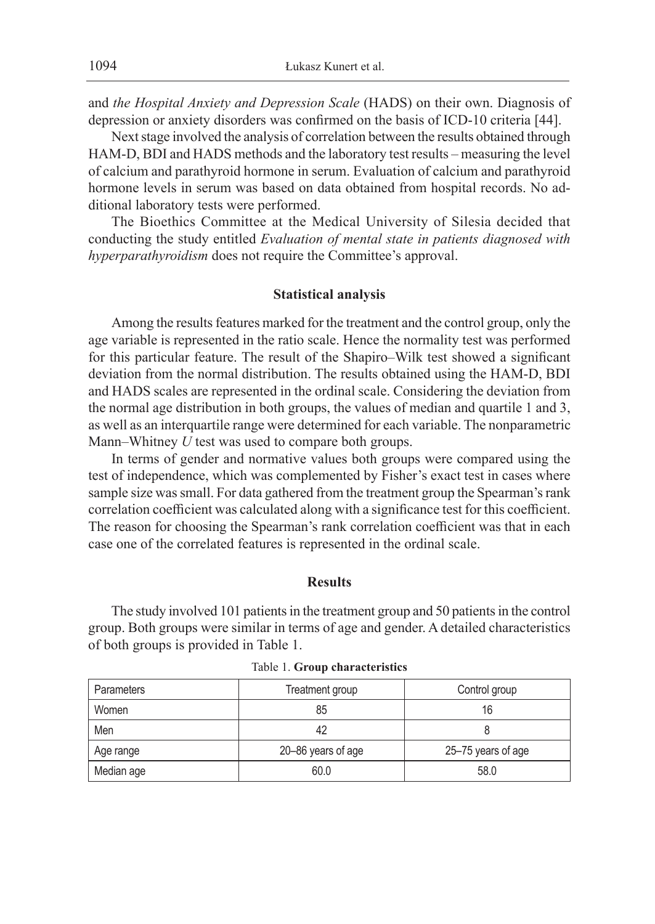and *the Hospital Anxiety and Depression Scale* (HADS) on their own. Diagnosis of depression or anxiety disorders was confirmed on the basis of ICD-10 criteria [44].

Next stage involved the analysis of correlation between the results obtained through HAM-D, BDI and HADS methods and the laboratory test results – measuring the level of calcium and parathyroid hormone in serum. Evaluation of calcium and parathyroid hormone levels in serum was based on data obtained from hospital records. No additional laboratory tests were performed.

The Bioethics Committee at the Medical University of Silesia decided that conducting the study entitled *Evaluation of mental state in patients diagnosed with hyperparathyroidism* does not require the Committee's approval.

# **Statistical analysis**

Among the results features marked for the treatment and the control group, only the age variable is represented in the ratio scale. Hence the normality test was performed for this particular feature. The result of the Shapiro–Wilk test showed a significant deviation from the normal distribution. The results obtained using the HAM-D, BDI and HADS scales are represented in the ordinal scale. Considering the deviation from the normal age distribution in both groups, the values of median and quartile 1 and 3, as well as an interquartile range were determined for each variable. The nonparametric Mann–Whitney *U* test was used to compare both groups.

In terms of gender and normative values both groups were compared using the test of independence, which was complemented by Fisher's exact test in cases where sample size was small. For data gathered from the treatment group the Spearman's rank correlation coefficient was calculated along with a significance test for this coefficient. The reason for choosing the Spearman's rank correlation coefficient was that in each case one of the correlated features is represented in the ordinal scale.

#### **Results**

The study involved 101 patients in the treatment group and 50 patients in the control group. Both groups were similar in terms of age and gender. A detailed characteristics of both groups is provided in Table 1.

| <b>Parameters</b> | Treatment group    | Control group      |
|-------------------|--------------------|--------------------|
| Women             | 85                 | 16                 |
| Men               | 42                 |                    |
| Age range         | 20-86 years of age | 25-75 years of age |
| Median age        | 60.0               | 58.0               |

Table 1. **Group characteristics**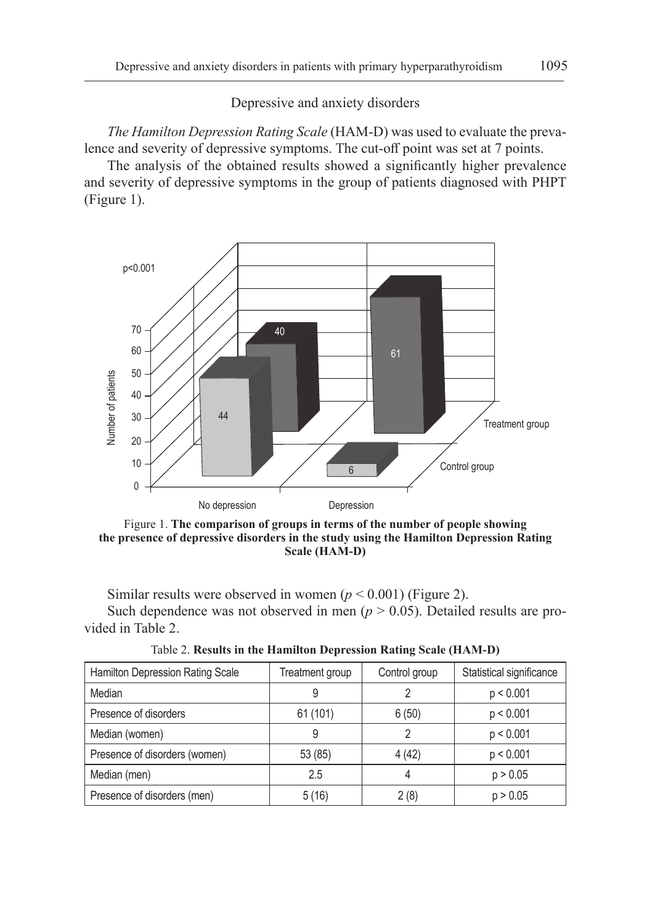Depressive and anxiety disorders

*The Hamilton Depression Rating Scale* (HAM-D) was used to evaluate the prevalence and severity of depressive symptoms. The cut-off point was set at 7 points.

The analysis of the obtained results showed a significantly higher prevalence and severity of depressive symptoms in the group of patients diagnosed with PHPT (Figure 1).



Figure 1. **The comparison of groups in terms of the number of people showing the presence of depressive disorders in the study using the Hamilton Depression Rating Scale (HAM-D)**

Similar results were observed in women  $(p < 0.001)$  (Figure 2). Such dependence was not observed in men  $(p > 0.05)$ . Detailed results are provided in Table 2.

Table 2. **Results in the Hamilton Depression Rating Scale (HAM-D)**

| Hamilton Depression Rating Scale | Treatment group | Control group | Statistical significance |
|----------------------------------|-----------------|---------------|--------------------------|
| Median                           | 9               |               | p < 0.001                |
| Presence of disorders            | 61 (101)        | 6(50)         | p < 0.001                |
| Median (women)                   | 9               |               | p < 0.001                |
| Presence of disorders (women)    | 53 (85)         | 4(42)         | p < 0.001                |
| Median (men)                     | 2.5             | 4             | p > 0.05                 |
| Presence of disorders (men)      | 5(16)           | 2(8)          | p > 0.05                 |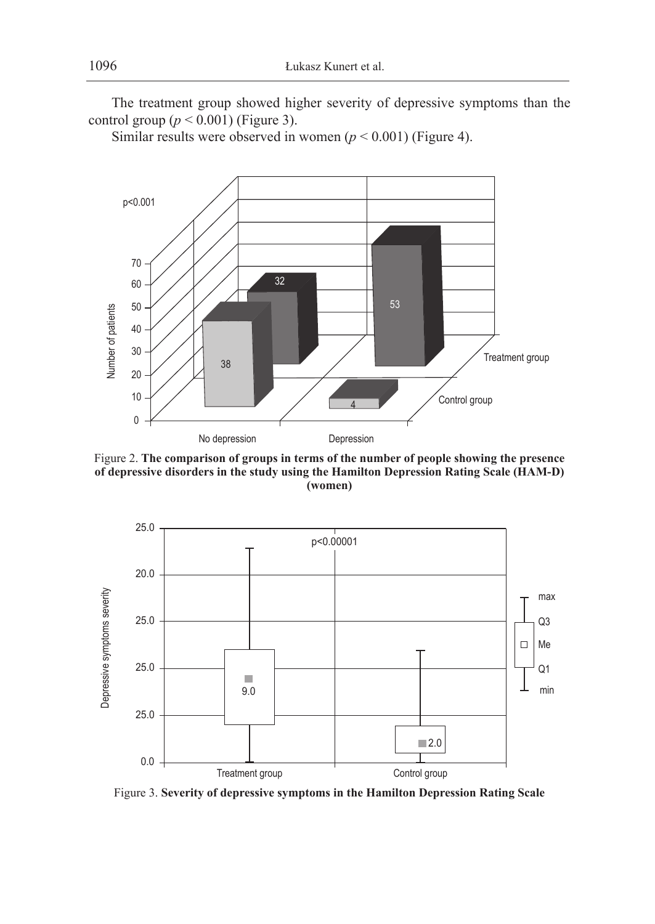The treatment group showed higher severity of depressive symptoms than the control group  $(p < 0.001)$  (Figure 3).

Similar results were observed in women ( $p < 0.001$ ) (Figure 4).



Figure 2. **The comparison of groups in terms of the number of people showing the presence of depressive disorders in the study using the Hamilton Depression Rating Scale (HAM-D) (women)**



Figure 3. **Severity of depressive symptoms in the Hamilton Depression Rating Scale**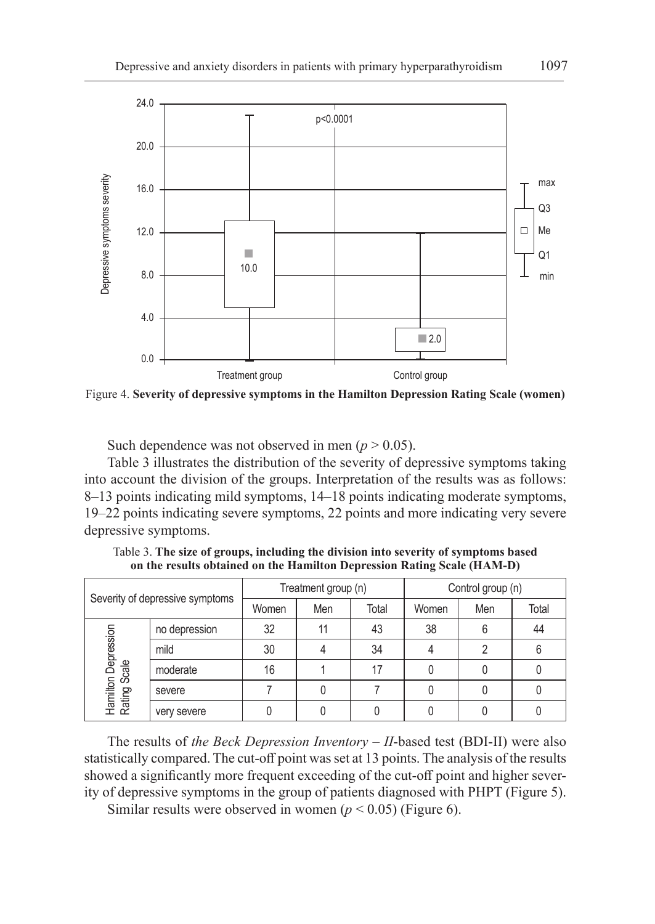

Figure 4. **Severity of depressive symptoms in the Hamilton Depression Rating Scale (women)**

Such dependence was not observed in men  $(p > 0.05)$ .

Table 3 illustrates the distribution of the severity of depressive symptoms taking into account the division of the groups. Interpretation of the results was as follows: 8–13 points indicating mild symptoms, 14–18 points indicating moderate symptoms, 19–22 points indicating severe symptoms, 22 points and more indicating very severe depressive symptoms.

| Severity of depressive symptoms             |               | Treatment group (n) |     |       | Control group (n) |     |       |
|---------------------------------------------|---------------|---------------------|-----|-------|-------------------|-----|-------|
|                                             |               | Women               | Men | Total | Women             | Men | Total |
|                                             | no depression | 32                  |     | 43    | 38                |     | 44    |
| Hamilton Depression<br>Rating Scale<br>mild |               | 30                  |     | 34    |                   | っ   |       |
|                                             | moderate      | 16                  |     | 17    |                   |     |       |
|                                             | severe        |                     |     |       |                   |     |       |
|                                             | very severe   |                     |     |       |                   |     |       |

Table 3. **The size of groups, including the division into severity of symptoms based on the results obtained on the Hamilton Depression Rating Scale (HAM-D)**

The results of *the Beck Depression Inventory – II*-based test (BDI-II) were also statistically compared. The cut-off point was set at 13 points. The analysis of the results showed a significantly more frequent exceeding of the cut-off point and higher severity of depressive symptoms in the group of patients diagnosed with PHPT (Figure 5).

Similar results were observed in women  $(p < 0.05)$  (Figure 6).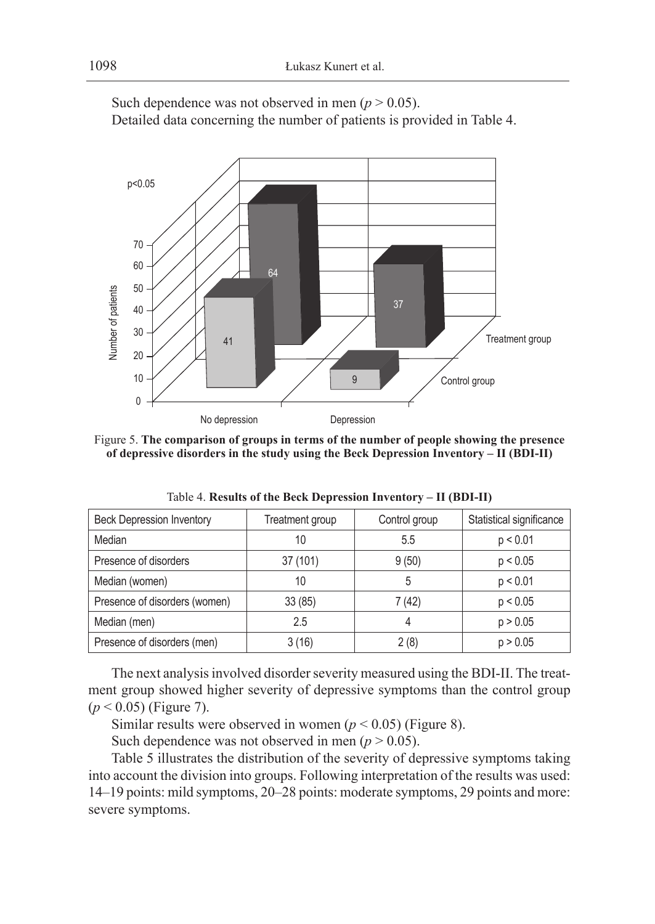

Such dependence was not observed in men  $(p > 0.05)$ . Detailed data concerning the number of patients is provided in Table 4.

Figure 5. **The comparison of groups in terms of the number of people showing the presence of depressive disorders in the study using the Beck Depression Inventory – II (BDI-II)**

| <b>Beck Depression Inventory</b> | Treatment group | Control group | Statistical significance |
|----------------------------------|-----------------|---------------|--------------------------|
| Median                           | 10              | 5.5           | p < 0.01                 |
| Presence of disorders            | 37(101)         | 9(50)         | p < 0.05                 |
| Median (women)                   | 10              | 5             | p < 0.01                 |
| Presence of disorders (women)    | 33(85)          | 7 (42)        | p < 0.05                 |
| Median (men)                     | 2.5             | 4             | p > 0.05                 |
| Presence of disorders (men)      | 3 (16)          | 2(8)          | p > 0.05                 |

Table 4. **Results of the Beck Depression Inventory – II (BDI-II)**

The next analysis involved disorder severity measured using the BDI-II. The treatment group showed higher severity of depressive symptoms than the control group (*p* < 0.05) (Figure 7).

Similar results were observed in women  $(p < 0.05)$  (Figure 8).

Such dependence was not observed in men  $(p > 0.05)$ .

Table 5 illustrates the distribution of the severity of depressive symptoms taking into account the division into groups. Following interpretation of the results was used: 14–19 points: mild symptoms, 20–28 points: moderate symptoms, 29 points and more: severe symptoms.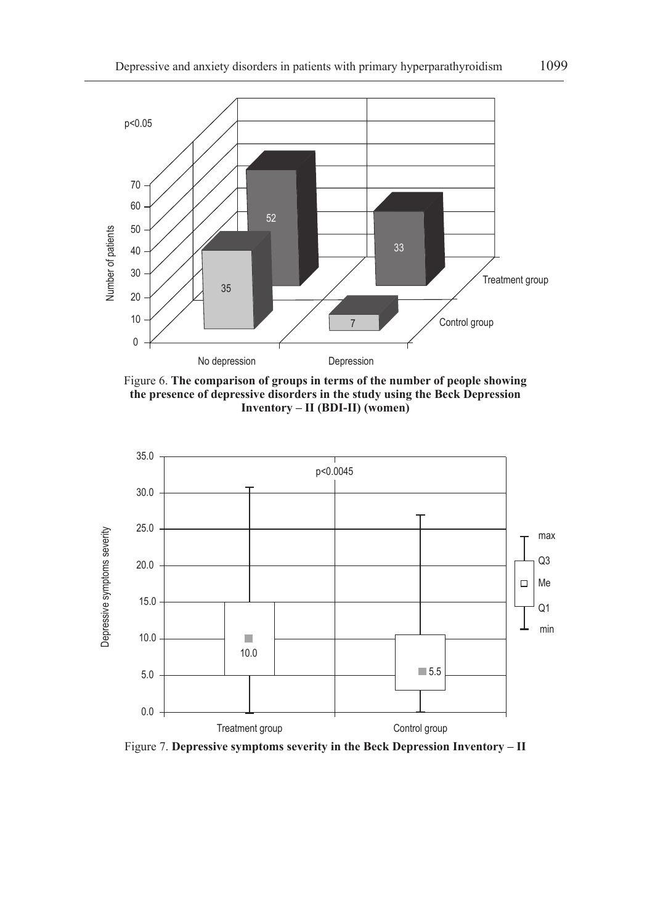

Figure 6. **The comparison of groups in terms of the number of people showing the presence of depressive disorders in the study using the Beck Depression Inventory – II (BDI-II) (women)**



Figure 7. **Depressive symptoms severity in the Beck Depression Inventory – II**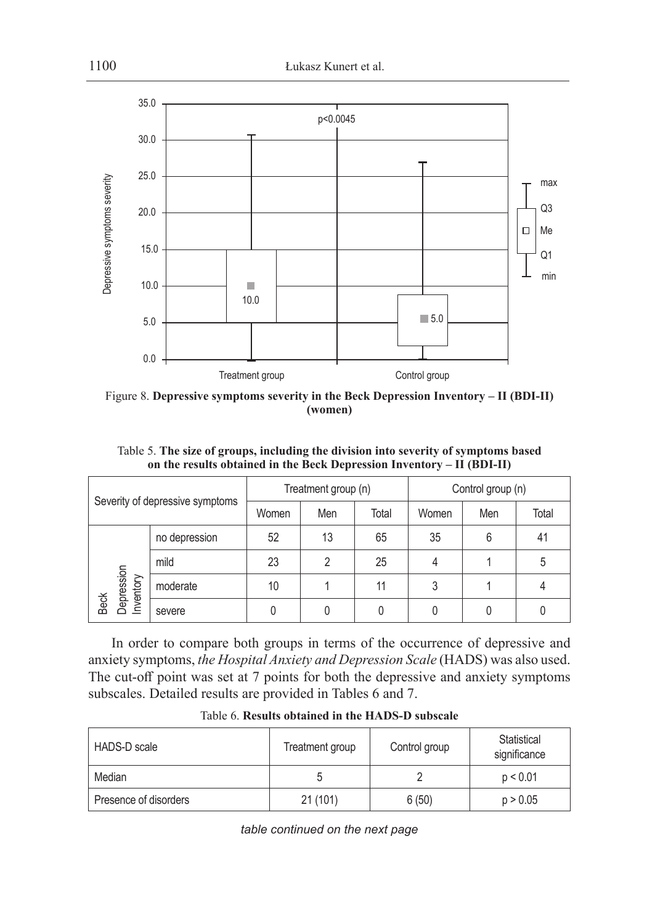

Figure 8. **Depressive symptoms severity in the Beck Depression Inventory – II (BDI-II) (women)**

Table 5. **The size of groups, including the division into severity of symptoms based on the results obtained in the Beck Depression Inventory – II (BDI-II)**

| Severity of depressive symptoms                              |        | Treatment group (n) |     |       | Control group (n) |     |       |
|--------------------------------------------------------------|--------|---------------------|-----|-------|-------------------|-----|-------|
|                                                              |        | Women               | Men | Total | Women             | Men | Total |
| no depression<br>mild<br>Depression<br>Inventory<br>moderate |        | 52                  | 13  | 65    | 35                | 6   | 41    |
|                                                              |        | 23                  | ∩   | 25    |                   |     | 5     |
|                                                              |        | 10                  |     | 11    | 3                 |     |       |
| <b>Beck</b>                                                  | severe | 0                   |     |       |                   |     |       |

In order to compare both groups in terms of the occurrence of depressive and anxiety symptoms, *the Hospital Anxiety and Depression Scale* (HADS) was also used. The cut-off point was set at 7 points for both the depressive and anxiety symptoms subscales. Detailed results are provided in Tables 6 and 7.

| HADS-D scale          | Treatment group | Control group | Statistical<br>significance |
|-----------------------|-----------------|---------------|-----------------------------|
| Median                |                 |               | p < 0.01                    |
| Presence of disorders | 21(101)         | 6(50)         | p > 0.05                    |

Table 6. **Results obtained in the HADS-D subscale**

*table continued on the next page*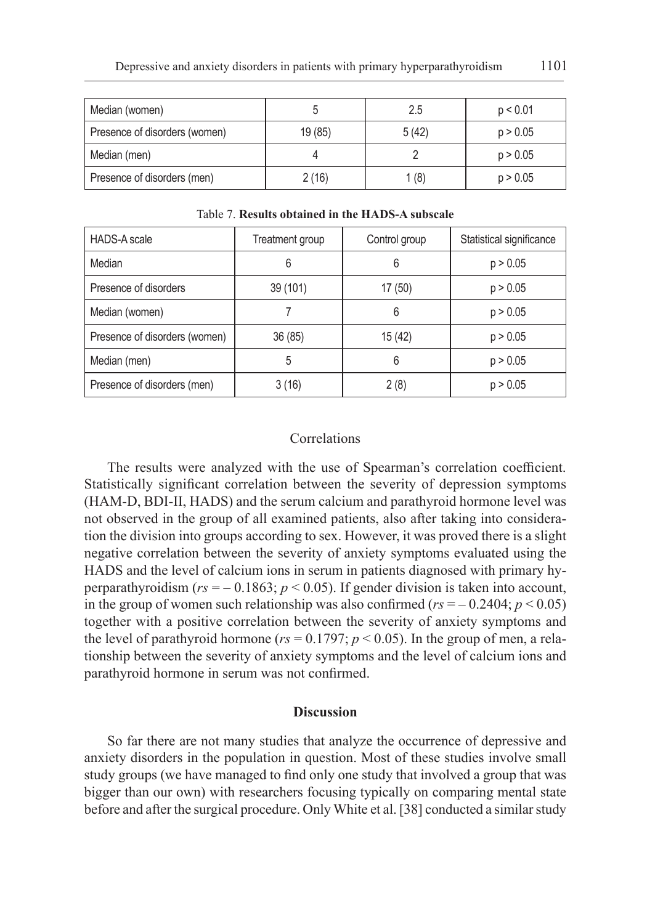| Median (women)                |         | 2.5   | p < 0.01 |
|-------------------------------|---------|-------|----------|
| Presence of disorders (women) | 19 (85) | 5(42) | p > 0.05 |
| Median (men)                  |         |       | p > 0.05 |
| Presence of disorders (men)   | 2(16)   | 1 (8) | p > 0.05 |

| <b>HADS-A scale</b>           | Treatment group | Control group | Statistical significance |
|-------------------------------|-----------------|---------------|--------------------------|
| Median                        | 6               | 6             | p > 0.05                 |
| Presence of disorders         | 39 (101)        | 17 (50)       | p > 0.05                 |
| Median (women)                |                 | 6             | p > 0.05                 |
| Presence of disorders (women) | 36(85)          | 15 (42)       | p > 0.05                 |
| Median (men)                  | 5               | 6             | p > 0.05                 |
| Presence of disorders (men)   | 3(16)           | 2(8)          | p > 0.05                 |

Table 7. **Results obtained in the HADS-A subscale**

## Correlations

The results were analyzed with the use of Spearman's correlation coefficient. Statistically significant correlation between the severity of depression symptoms (HAM-D, BDI-II, HADS) and the serum calcium and parathyroid hormone level was not observed in the group of all examined patients, also after taking into consideration the division into groups according to sex. However, it was proved there is a slight negative correlation between the severity of anxiety symptoms evaluated using the HADS and the level of calcium ions in serum in patients diagnosed with primary hyperparathyroidism ( $rs = -0.1863$ ;  $p < 0.05$ ). If gender division is taken into account, in the group of women such relationship was also confirmed ( $rs = -0.2404$ ;  $p < 0.05$ ) together with a positive correlation between the severity of anxiety symptoms and the level of parathyroid hormone ( $rs = 0.1797$ ;  $p < 0.05$ ). In the group of men, a relationship between the severity of anxiety symptoms and the level of calcium ions and parathyroid hormone in serum was not confirmed.

## **Discussion**

So far there are not many studies that analyze the occurrence of depressive and anxiety disorders in the population in question. Most of these studies involve small study groups (we have managed to find only one study that involved a group that was bigger than our own) with researchers focusing typically on comparing mental state before and after the surgical procedure. Only White et al. [38] conducted a similar study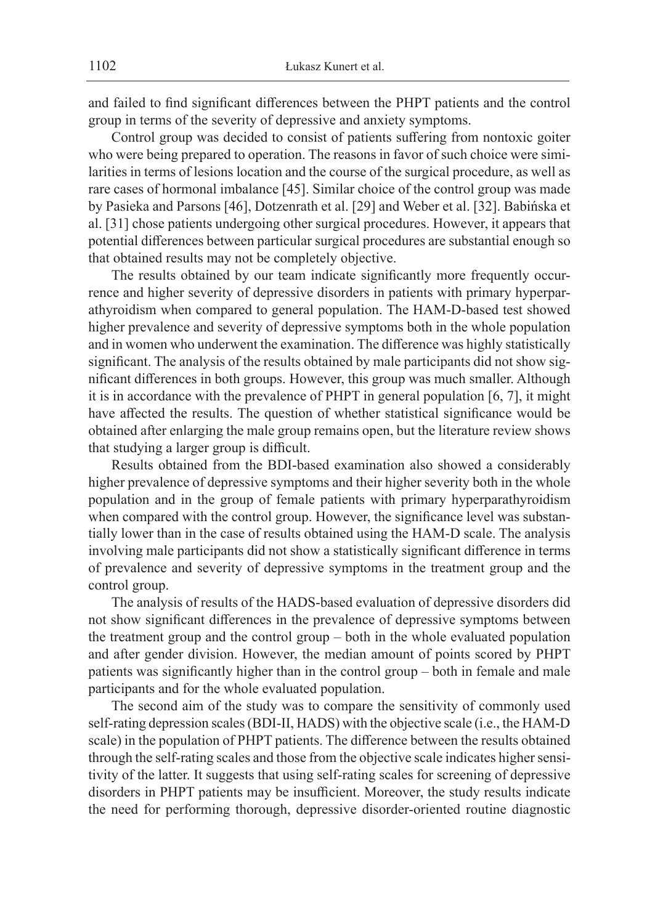and failed to find significant differences between the PHPT patients and the control group in terms of the severity of depressive and anxiety symptoms.

Control group was decided to consist of patients suffering from nontoxic goiter who were being prepared to operation. The reasons in favor of such choice were similarities in terms of lesions location and the course of the surgical procedure, as well as rare cases of hormonal imbalance [45]. Similar choice of the control group was made by Pasieka and Parsons [46], Dotzenrath et al. [29] and Weber et al. [32]. Babińska et al. [31] chose patients undergoing other surgical procedures. However, it appears that potential differences between particular surgical procedures are substantial enough so that obtained results may not be completely objective.

The results obtained by our team indicate significantly more frequently occurrence and higher severity of depressive disorders in patients with primary hyperparathyroidism when compared to general population. The HAM-D-based test showed higher prevalence and severity of depressive symptoms both in the whole population and in women who underwent the examination. The difference was highly statistically significant. The analysis of the results obtained by male participants did not show significant differences in both groups. However, this group was much smaller. Although it is in accordance with the prevalence of PHPT in general population [6, 7], it might have affected the results. The question of whether statistical significance would be obtained after enlarging the male group remains open, but the literature review shows that studying a larger group is difficult.

Results obtained from the BDI-based examination also showed a considerably higher prevalence of depressive symptoms and their higher severity both in the whole population and in the group of female patients with primary hyperparathyroidism when compared with the control group. However, the significance level was substantially lower than in the case of results obtained using the HAM-D scale. The analysis involving male participants did not show a statistically significant difference in terms of prevalence and severity of depressive symptoms in the treatment group and the control group.

The analysis of results of the HADS-based evaluation of depressive disorders did not show significant differences in the prevalence of depressive symptoms between the treatment group and the control group – both in the whole evaluated population and after gender division. However, the median amount of points scored by PHPT patients was significantly higher than in the control group – both in female and male participants and for the whole evaluated population.

The second aim of the study was to compare the sensitivity of commonly used self-rating depression scales (BDI-II, HADS) with the objective scale (i.e., the HAM-D scale) in the population of PHPT patients. The difference between the results obtained through the self-rating scales and those from the objective scale indicates higher sensitivity of the latter. It suggests that using self-rating scales for screening of depressive disorders in PHPT patients may be insufficient. Moreover, the study results indicate the need for performing thorough, depressive disorder-oriented routine diagnostic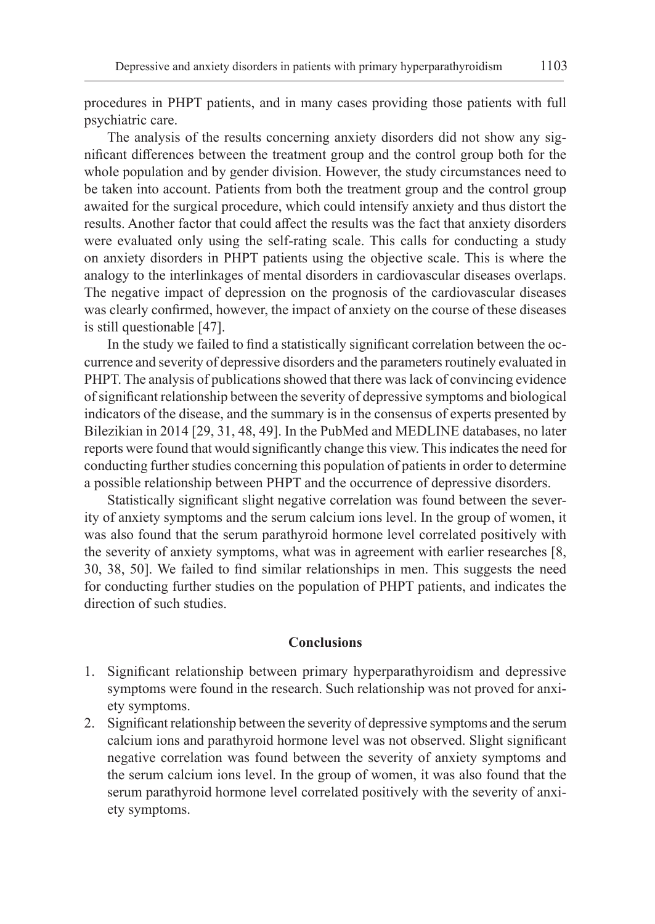procedures in PHPT patients, and in many cases providing those patients with full psychiatric care.

The analysis of the results concerning anxiety disorders did not show any significant differences between the treatment group and the control group both for the whole population and by gender division. However, the study circumstances need to be taken into account. Patients from both the treatment group and the control group awaited for the surgical procedure, which could intensify anxiety and thus distort the results. Another factor that could affect the results was the fact that anxiety disorders were evaluated only using the self-rating scale. This calls for conducting a study on anxiety disorders in PHPT patients using the objective scale. This is where the analogy to the interlinkages of mental disorders in cardiovascular diseases overlaps. The negative impact of depression on the prognosis of the cardiovascular diseases was clearly confirmed, however, the impact of anxiety on the course of these diseases is still questionable [47].

In the study we failed to find a statistically significant correlation between the occurrence and severity of depressive disorders and the parameters routinely evaluated in PHPT. The analysis of publications showed that there was lack of convincing evidence of significant relationship between the severity of depressive symptoms and biological indicators of the disease, and the summary is in the consensus of experts presented by Bilezikian in 2014 [29, 31, 48, 49]. In the PubMed and MEDLINE databases, no later reports were found that would significantly change this view. This indicates the need for conducting further studies concerning this population of patients in order to determine a possible relationship between PHPT and the occurrence of depressive disorders.

Statistically significant slight negative correlation was found between the severity of anxiety symptoms and the serum calcium ions level. In the group of women, it was also found that the serum parathyroid hormone level correlated positively with the severity of anxiety symptoms, what was in agreement with earlier researches [8, 30, 38, 50]. We failed to find similar relationships in men. This suggests the need for conducting further studies on the population of PHPT patients, and indicates the direction of such studies.

## **Conclusions**

- 1. Significant relationship between primary hyperparathyroidism and depressive symptoms were found in the research. Such relationship was not proved for anxiety symptoms.
- 2. Significant relationship between the severity of depressive symptoms and the serum calcium ions and parathyroid hormone level was not observed. Slight significant negative correlation was found between the severity of anxiety symptoms and the serum calcium ions level. In the group of women, it was also found that the serum parathyroid hormone level correlated positively with the severity of anxiety symptoms.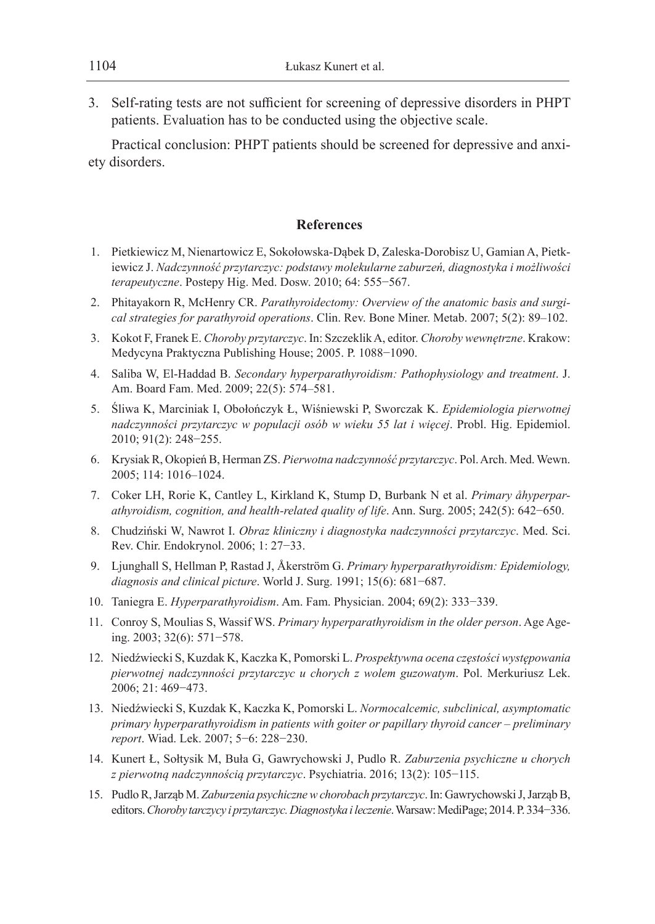3. Self-rating tests are not sufficient for screening of depressive disorders in PHPT patients. Evaluation has to be conducted using the objective scale.

Practical conclusion: PHPT patients should be screened for depressive and anxiety disorders.

# **References**

- 1. Pietkiewicz M, Nienartowicz E, Sokołowska-Dąbek D, Zaleska-Dorobisz U, Gamian A, Pietkiewicz J. *Nadczynność przytarczyc: podstawy molekularne zaburzeń, diagnostyka i możliwości terapeutyczne*. Postepy Hig. Med. Dosw. 2010; 64: 555−567.
- 2. Phitayakorn R, McHenry CR. *Parathyroidectomy: Overview of the anatomic basis and surgical strategies for parathyroid operations*. Clin. Rev. Bone Miner. Metab. 2007; 5(2): 89–102.
- 3. Kokot F, Franek E. *Choroby przytarczyc*. In: Szczeklik A, editor. *Choroby wewnętrzne*. Krakow: Medycyna Praktyczna Publishing House; 2005. P. 1088−1090.
- 4. Saliba W, El-Haddad B. *Secondary hyperparathyroidism: Pathophysiology and treatment*. J. Am. Board Fam. Med. 2009; 22(5): 574–581.
- 5. Śliwa K, Marciniak I, Obołończyk Ł, Wiśniewski P, Sworczak K. *Epidemiologia pierwotnej nadczynności przytarczyc w populacji osób w wieku 55 lat i więcej*. Probl. Hig. Epidemiol. 2010; 91(2): 248−255.
- 6. Krysiak R, Okopień B, Herman ZS. *Pierwotna nadczynność przytarczyc*. Pol. Arch. Med. Wewn. 2005; 114: 1016–1024.
- 7. Coker LH, Rorie K, Cantley L, Kirkland K, Stump D, Burbank N et al. *Primary åhyperparathyroidism, cognition, and health-related quality of life*. Ann. Surg. 2005; 242(5): 642−650.
- 8. Chudziński W, Nawrot I. *Obraz kliniczny i diagnostyka nadczynności przytarczyc*. Med. Sci. Rev. Chir. Endokrynol. 2006; 1: 27−33.
- 9. Ljunghall S, Hellman P, Rastad J, Åkerström G. *Primary hyperparathyroidism: Epidemiology, diagnosis and clinical picture*. World J. Surg. 1991; 15(6): 681−687.
- 10. Taniegra E. *Hyperparathyroidism*. Am. Fam. Physician. 2004; 69(2): 333−339.
- 11. Conroy S, Moulias S, Wassif WS. *Primary hyperparathyroidism in the older person*. Age Ageing. 2003; 32(6): 571−578.
- 12. Niedźwiecki S, Kuzdak K, Kaczka K, Pomorski L. *Prospektywna ocena częstości występowania pierwotnej nadczynności przytarczyc u chorych z wolem guzowatym*. Pol. Merkuriusz Lek. 2006; 21: 469−473.
- 13. Niedźwiecki S, Kuzdak K, Kaczka K, Pomorski L. *Normocalcemic, subclinical, asymptomatic primary hyperparathyroidism in patients with goiter or papillary thyroid cancer – preliminary report*. Wiad. Lek. 2007; 5−6: 228−230.
- 14. Kunert Ł, Sołtysik M, Buła G, Gawrychowski J, Pudlo R. *Zaburzenia psychiczne u chorych z pierwotną nadczynnością przytarczyc*. Psychiatria. 2016; 13(2): 105−115.
- 15. Pudlo R, Jarząb M. *Zaburzenia psychiczne w chorobach przytarczyc*. In: Gawrychowski J, Jarząb B, editors. *Choroby tarczycy i przytarczyc. Diagnostyka i leczenie*. Warsaw: MediPage; 2014. P. 334−336.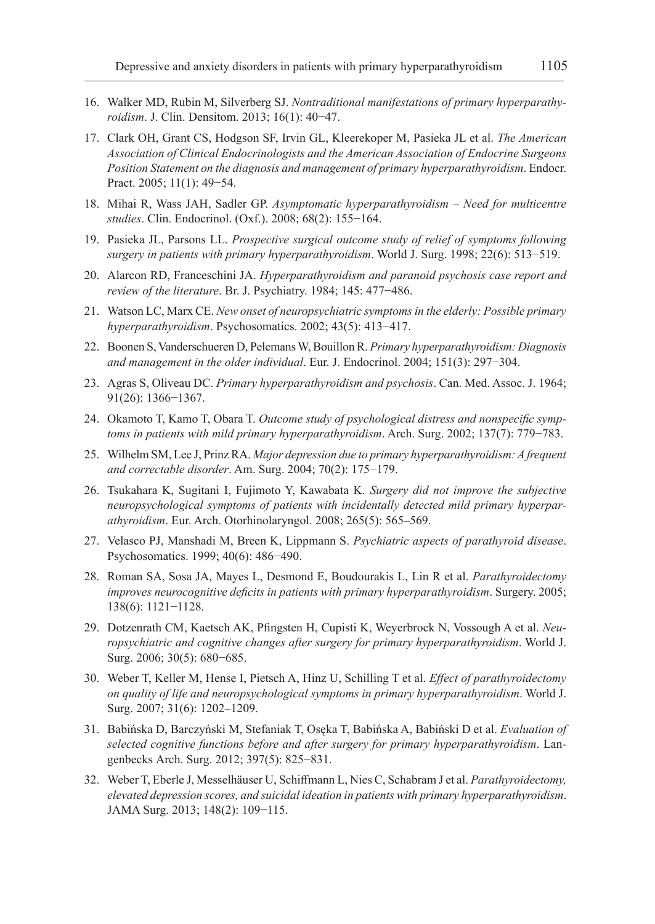- 16. Walker MD, Rubin M, Silverberg SJ. *Nontraditional manifestations of primary hyperparathyroidism*. J. Clin. Densitom. 2013; 16(1): 40−47.
- 17. Clark OH, Grant CS, Hodgson SF, Irvin GL, Kleerekoper M, Pasieka JL et al. *The American Association of Clinical Endocrinologists and the American Association of Endocrine Surgeons Position Statement on the diagnosis and management of primary hyperparathyroidism*. Endocr. Pract. 2005; 11(1): 49−54.
- 18. Mihai R, Wass JAH, Sadler GP. *Asymptomatic hyperparathyroidism Need for multicentre studies*. Clin. Endocrinol. (Oxf.). 2008; 68(2): 155−164.
- 19. Pasieka JL, Parsons LL. *Prospective surgical outcome study of relief of symptoms following surgery in patients with primary hyperparathyroidism*. World J. Surg. 1998; 22(6): 513−519.
- 20. Alarcon RD, Franceschini JA. *Hyperparathyroidism and paranoid psychosis case report and review of the literature*. Br. J. Psychiatry. 1984; 145: 477−486.
- 21. Watson LC, Marx CE. *New onset of neuropsychiatric symptoms in the elderly: Possible primary hyperparathyroidism*. Psychosomatics. 2002; 43(5): 413−417.
- 22. Boonen S, Vanderschueren D, Pelemans W, Bouillon R. *Primary hyperparathyroidism: Diagnosis and management in the older individual*. Eur. J. Endocrinol. 2004; 151(3): 297−304.
- 23. Agras S, Oliveau DC. *Primary hyperparathyroidism and psychosis*. Can. Med. Assoc. J. 1964; 91(26): 1366−1367.
- 24. Okamoto T, Kamo T, Obara T. *Outcome study of psychological distress and nonspecific symptoms in patients with mild primary hyperparathyroidism*. Arch. Surg. 2002; 137(7): 779−783.
- 25. Wilhelm SM, Lee J, Prinz RA. *Major depression due to primary hyperparathyroidism: A frequent and correctable disorder*. Am. Surg. 2004; 70(2): 175−179.
- 26. Tsukahara K, Sugitani I, Fujimoto Y, Kawabata K. *Surgery did not improve the subjective neuropsychological symptoms of patients with incidentally detected mild primary hyperparathyroidism*. Eur. Arch. Otorhinolaryngol. 2008; 265(5): 565–569.
- 27. Velasco PJ, Manshadi M, Breen K, Lippmann S. *Psychiatric aspects of parathyroid disease*. Psychosomatics. 1999; 40(6): 486−490.
- 28. Roman SA, Sosa JA, Mayes L, Desmond E, Boudourakis L, Lin R et al. *Parathyroidectomy improves neurocognitive deficits in patients with primary hyperparathyroidism*. Surgery. 2005; 138(6): 1121−1128.
- 29. Dotzenrath CM, Kaetsch AK, Pfingsten H, Cupisti K, Weyerbrock N, Vossough A et al. *Neuropsychiatric and cognitive changes after surgery for primary hyperparathyroidism*. World J. Surg. 2006; 30(5): 680−685.
- 30. Weber T, Keller M, Hense I, Pietsch A, Hinz U, Schilling T et al. *Effect of parathyroidectomy on quality of life and neuropsychological symptoms in primary hyperparathyroidism*. World J. Surg. 2007; 31(6): 1202–1209.
- 31. Babińska D, Barczyński M, Stefaniak T, Osęka T, Babińska A, Babiński D et al. *Evaluation of selected cognitive functions before and after surgery for primary hyperparathyroidism*. Langenbecks Arch. Surg. 2012; 397(5): 825−831.
- 32. Weber T, Eberle J, Messelhäuser U, Schiffmann L, Nies C, Schabram J et al. *Parathyroidectomy, elevated depression scores, and suicidal ideation in patients with primary hyperparathyroidism*. JAMA Surg. 2013; 148(2): 109−115.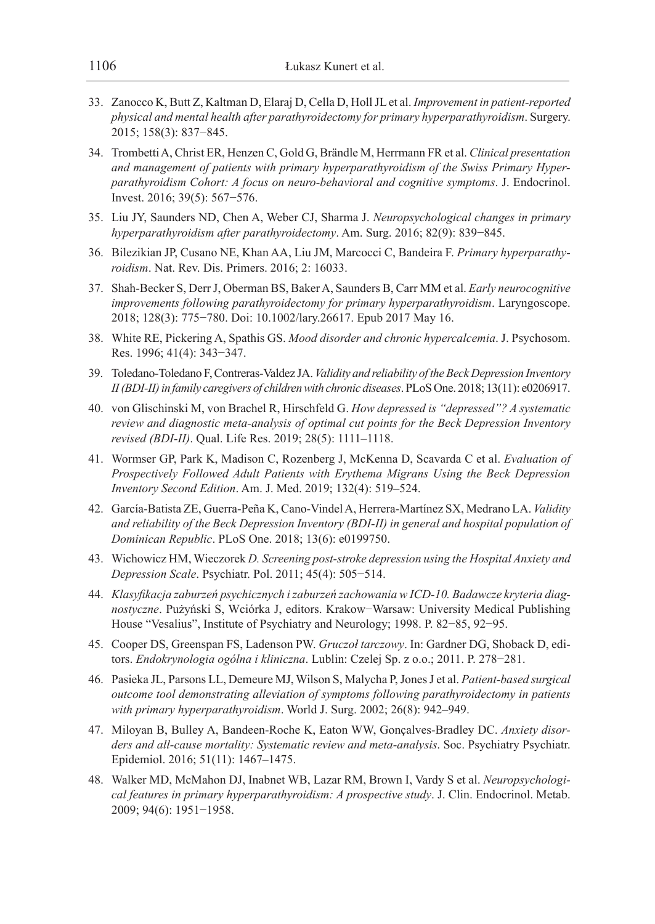- 33. Zanocco K, Butt Z, Kaltman D, Elaraj D, Cella D, Holl JL et al. *Improvement in patient-reported physical and mental health after parathyroidectomy for primary hyperparathyroidism*. Surgery. 2015; 158(3): 837−845.
- 34. Trombetti A, Christ ER, Henzen C, Gold G, Brändle M, Herrmann FR et al. *Clinical presentation and management of patients with primary hyperparathyroidism of the Swiss Primary Hyperparathyroidism Cohort: A focus on neuro-behavioral and cognitive symptoms*. J. Endocrinol. Invest. 2016; 39(5): 567−576.
- 35. Liu JY, Saunders ND, Chen A, Weber CJ, Sharma J. *Neuropsychological changes in primary hyperparathyroidism after parathyroidectomy*. Am. Surg. 2016; 82(9): 839−845.
- 36. Bilezikian JP, Cusano NE, Khan AA, Liu JM, Marcocci C, Bandeira F. *Primary hyperparathyroidism*. Nat. Rev. Dis. Primers. 2016; 2: 16033.
- 37. Shah-Becker S, Derr J, Oberman BS, Baker A, Saunders B, Carr MM et al. *Early neurocognitive improvements following parathyroidectomy for primary hyperparathyroidism*. Laryngoscope. 2018; 128(3): 775−780. Doi: 10.1002/lary.26617. Epub 2017 May 16.
- 38. White RE, Pickering A, Spathis GS. *Mood disorder and chronic hypercalcemia*. J. Psychosom. Res. 1996; 41(4): 343−347.
- 39. Toledano-Toledano F, Contreras-Valdez JA. *Validity and reliability of the Beck Depression Inventory II (BDI-II) in family caregivers of children with chronic diseases*. PLoS One. 2018; 13(11): e0206917.
- 40. von Glischinski M, von Brachel R, Hirschfeld G. *How depressed is "depressed"? A systematic review and diagnostic meta-analysis of optimal cut points for the Beck Depression Inventory revised (BDI-II)*. Qual. Life Res. 2019; 28(5): 1111–1118.
- 41. Wormser GP, Park K, Madison C, Rozenberg J, McKenna D, Scavarda C et al. *Evaluation of Prospectively Followed Adult Patients with Erythema Migrans Using the Beck Depression Inventory Second Edition*. Am. J. Med. 2019; 132(4): 519–524.
- 42. García-Batista ZE, Guerra-Peña K, Cano-Vindel A, Herrera-Martínez SX, Medrano LA. *Validity and reliability of the Beck Depression Inventory (BDI-II) in general and hospital population of Dominican Republic*. PLoS One. 2018; 13(6): e0199750.
- 43. Wichowicz HM, Wieczorek *D. Screening post-stroke depression using the Hospital Anxiety and Depression Scale*. Psychiatr. Pol. 2011; 45(4): 505−514.
- 44. *Klasyfikacja zaburzeń psychicznych i zaburzeń zachowania w ICD-10. Badawcze kryteria diagnostyczne*. Pużyński S, Wciórka J, editors. Krakow−Warsaw: University Medical Publishing House "Vesalius", Institute of Psychiatry and Neurology; 1998. P. 82−85, 92−95.
- 45. Cooper DS, Greenspan FS, Ladenson PW. *Gruczoł tarczowy*. In: Gardner DG, Shoback D, editors. *Endokrynologia ogólna i kliniczna*. Lublin: Czelej Sp. z o.o.; 2011. P. 278−281.
- 46. Pasieka JL, Parsons LL, Demeure MJ, Wilson S, Malycha P, Jones J et al. *Patient-based surgical outcome tool demonstrating alleviation of symptoms following parathyroidectomy in patients with primary hyperparathyroidism*. World J. Surg. 2002; 26(8): 942–949.
- 47. Miloyan B, Bulley A, Bandeen-Roche K, Eaton WW, Gonçalves-Bradley DC. *Anxiety disorders and all-cause mortality: Systematic review and meta-analysis*. Soc. Psychiatry Psychiatr. Epidemiol. 2016; 51(11): 1467–1475.
- 48. Walker MD, McMahon DJ, Inabnet WB, Lazar RM, Brown I, Vardy S et al. *Neuropsychological features in primary hyperparathyroidism: A prospective study*. J. Clin. Endocrinol. Metab. 2009; 94(6): 1951−1958.